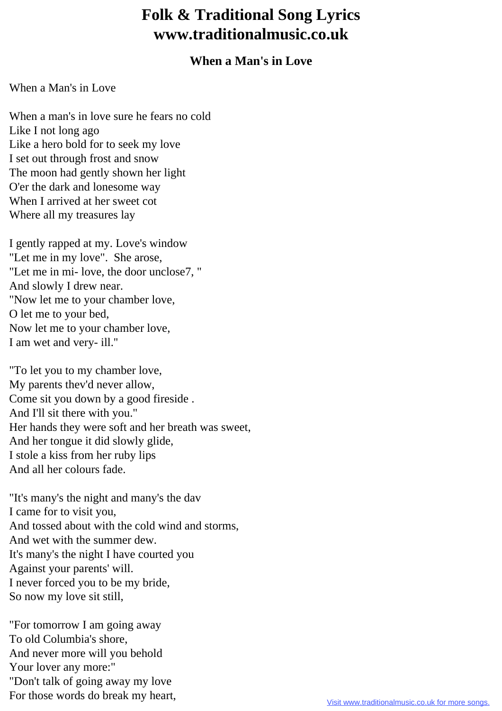## **Folk & Traditional Song Lyrics www.traditionalmusic.co.uk**

## **When a Man's in Love**

## When a Man's in Love

When a man's in love sure he fears no cold Like I not long ago Like a hero bold for to seek my love I set out through frost and snow The moon had gently shown her light O'er the dark and lonesome way When I arrived at her sweet cot Where all my treasures lay

I gently rapped at my. Love's window "Let me in my love". She arose, "Let me in mi- love, the door unclose7, " And slowly I drew near. "Now let me to your chamber love, O let me to your bed, Now let me to your chamber love, I am wet and very- ill.''

"To let you to my chamber love, My parents thev'd never allow, Come sit you down by a good fireside . And I'll sit there with you." Her hands they were soft and her breath was sweet, And her tongue it did slowly glide, I stole a kiss from her ruby lips And all her colours fade.

"It's many's the night and many's the dav I came for to visit you, And tossed about with the cold wind and storms, And wet with the summer dew. It's many's the night I have courted you Against your parents' will. I never forced you to be my bride, So now my love sit still,

"For tomorrow I am going away To old Columbia's shore, And never more will you behold Your lover any more:" "Don't talk of going away my love For those words do break my heart,